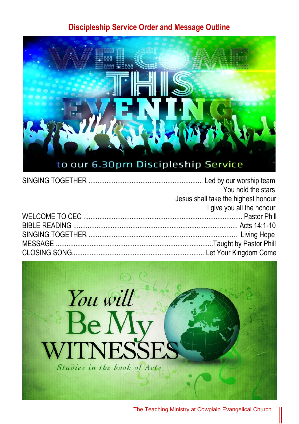#### **Discipleship Service Order and Message Outline**



| You hold the stars                  |
|-------------------------------------|
| Jesus shall take the highest honour |
| I give you all the honour           |
|                                     |
|                                     |
|                                     |
|                                     |
|                                     |

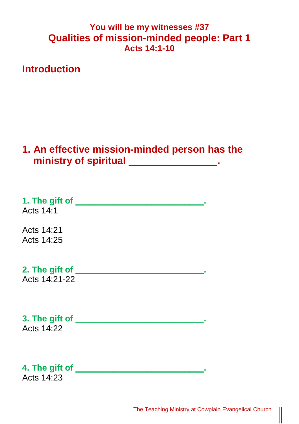### **You will be my witnesses #37 Qualities of mission-minded people: Part 1 Acts 14:1-10**

**Introduction**

## **1. An effective mission-minded person has the**  ministry of spiritual \_\_\_\_\_\_\_\_\_\_\_\_\_\_\_\_\_\_.

**1. The gift of 1.** The gift of **1.** The gift of **1.** The gift of **1.** The gift of **1.** The gift of **1.** The gift of **1.** The gift of **1.** The gift of **1.** The gift of **1.** The gift of **1.** The gift of **1.** The gift of Acts  $14.1$ 

Acts 14:21 Acts 14:25

**2. The gift of \_\_\_\_\_\_\_\_\_\_\_\_\_\_\_\_\_\_\_\_\_\_\_\_\_\_\_.**

Acts 14:21-22

**3. The gift of \_\_\_\_\_\_\_\_\_\_\_\_\_\_\_\_\_\_\_\_\_\_\_\_\_\_\_.** Acts  $14.22$ 

**4. The gift of 4.** The gift of **1.** The gift of **1.** The gift of **1.** The gift of **1.** The gift of **1.** The gift of **1.** The gift of **1.** The gift of **1.** The gift of **1.** The gift of **1.** The gift of **1.** The gift of Acts 14:23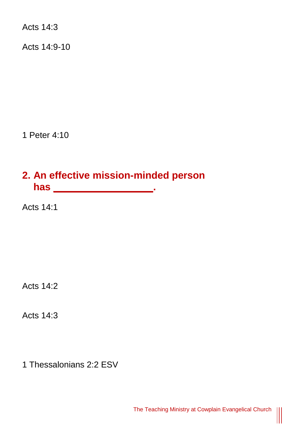Acts 14:3

Acts 14:9-10

1 Peter 4:10

# **2. An effective mission-minded person has \_\_\_\_\_\_\_\_\_\_\_\_\_\_\_\_\_\_.**

Acts 14:1

Acts 14:2

Acts 14:3

1 Thessalonians 2:2 ESV